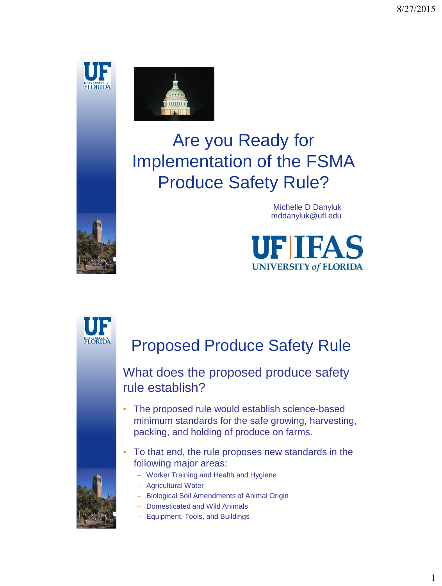



# Are you Ready for Implementation of the FSMA Produce Safety Rule?



Michelle D Danyluk mddanyluk@ufl.edu





## Proposed Produce Safety Rule

#### What does the proposed produce safety rule establish?

- The proposed rule would establish science-based minimum standards for the safe growing, harvesting, packing, and holding of produce on farms.
- To that end, the rule proposes new standards in the following major areas:



- Worker Training and Health and Hygiene
- Agricultural Water
- Biological Soil Amendments of Animal Origin
- Domesticated and Wild Animals
- Equipment, Tools, and Buildings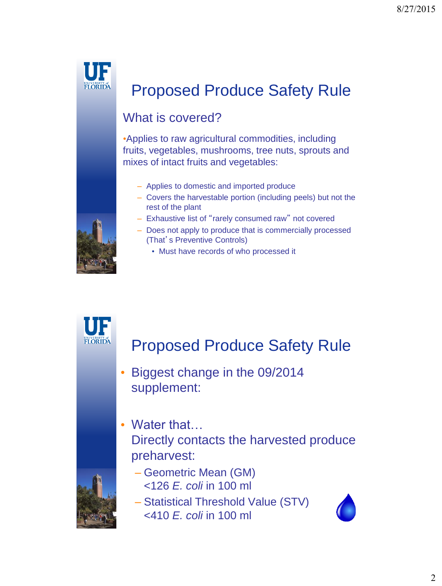

#### What is covered?

•Applies to raw agricultural commodities, including fruits, vegetables, mushrooms, tree nuts, sprouts and mixes of intact fruits and vegetables:

- Applies to domestic and imported produce
- Covers the harvestable portion (including peels) but not the rest of the plant
- Exhaustive list of "rarely consumed raw" not covered
- Does not apply to produce that is commercially processed (That's Preventive Controls)
	- Must have records of who processed it



- Biggest change in the 09/2014 supplement:
- Water that... Directly contacts the harvested produce preharvest:



- Geometric Mean (GM) <126 *E. coli* in 100 ml
- Statistical Threshold Value (STV) <410 *E. coli* in 100 ml



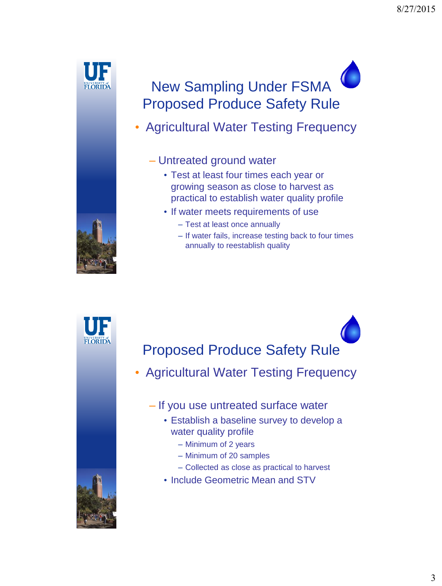

## New Sampling Under FSMA Proposed Produce Safety Rule

• Agricultural Water Testing Frequency

#### – Untreated ground water

- Test at least four times each year or growing season as close to harvest as practical to establish water quality profile
- If water meets requirements of use
	- Test at least once annually
	- If water fails, increase testing back to four times annually to reestablish quality 5



- Agricultural Water Testing Frequency
	- If you use untreated surface water
		- Establish a baseline survey to develop a water quality profile
			- Minimum of 2 years
			- Minimum of 20 samples
			- Collected as close as practical to harvest
		- Include Geometric Mean and STV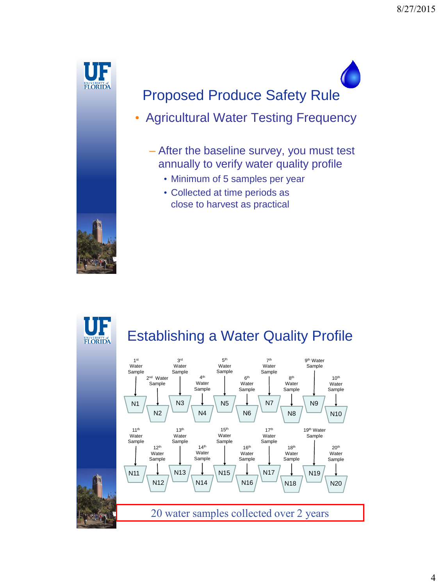

- Agricultural Water Testing Frequency
	- After the baseline survey, you must test annually to verify water quality profile
		- Minimum of 5 samples per year
		- Collected at time periods as close to harvest as practical



## Establishing a Water Quality Profile

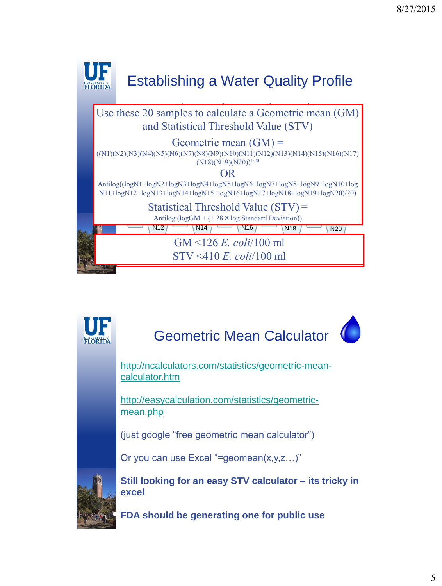

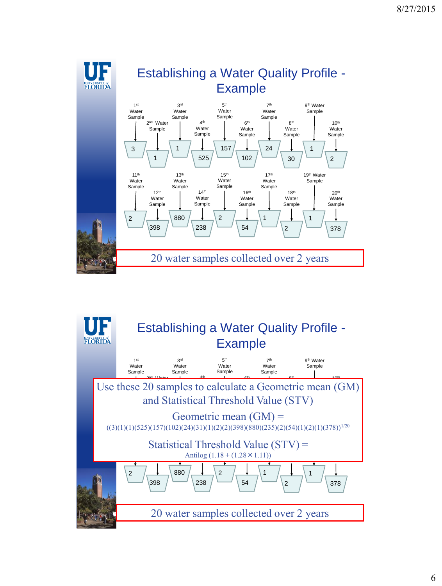

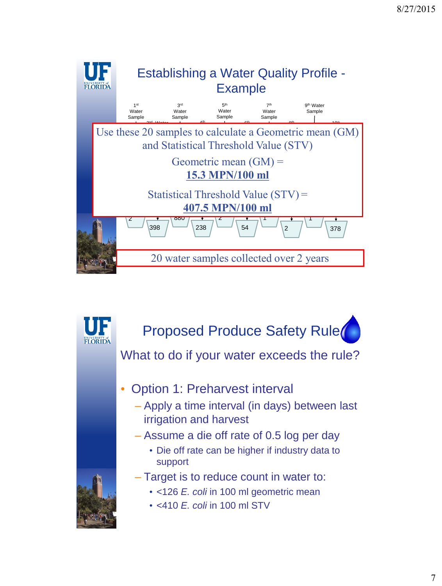

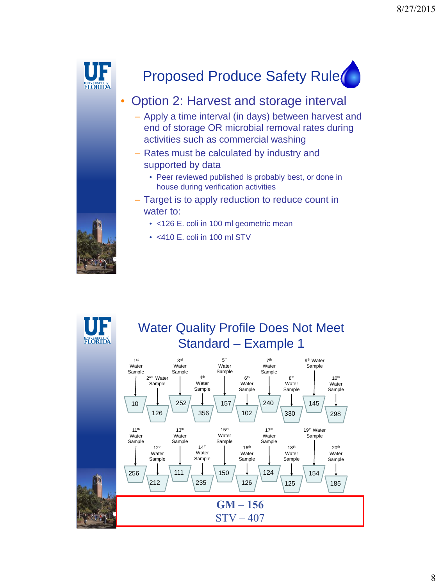



#### • Option 2: Harvest and storage interval

- Apply a time interval (in days) between harvest and end of storage OR microbial removal rates during activities such as commercial washing
- Rates must be calculated by industry and supported by data
	- Peer reviewed published is probably best, or done in house during verification activities
- Target is to apply reduction to reduce count in water to:
	- <126 E. coli in 100 ml geometric mean
	- <410 E. coli in 100 ml STV



#### Water Quality Profile Does Not Meet Standard – Example 1

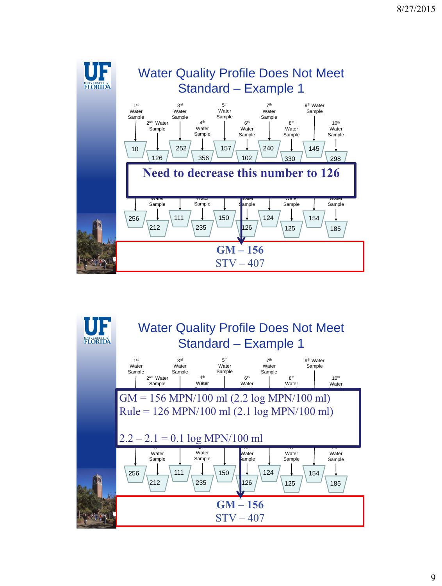

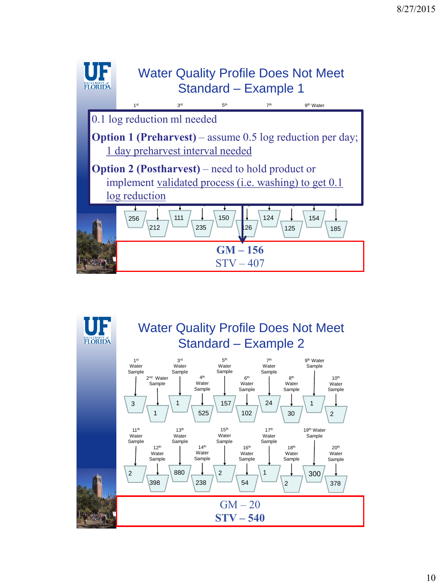

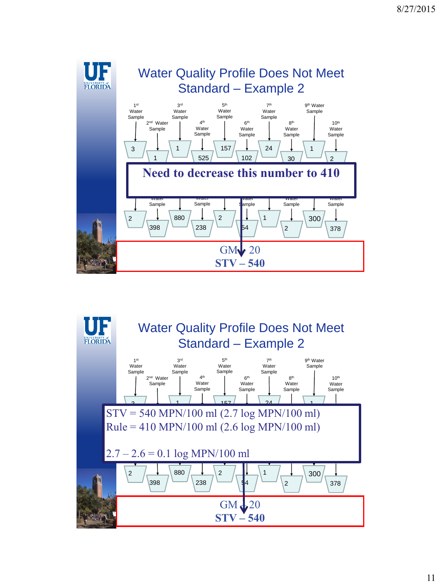

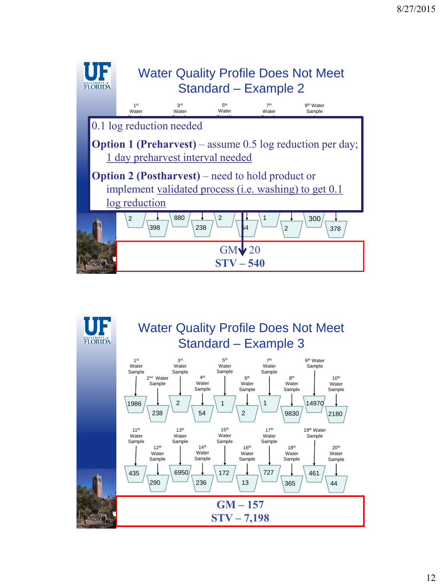

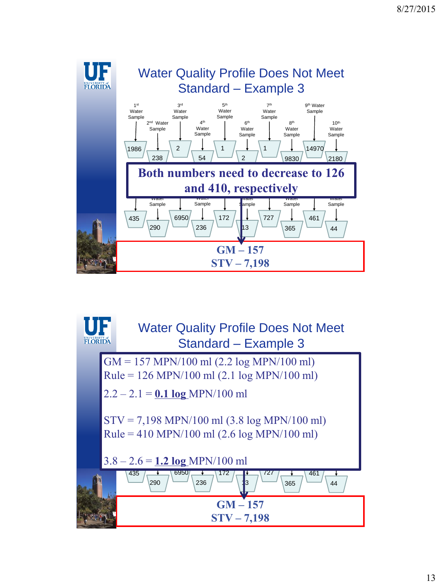

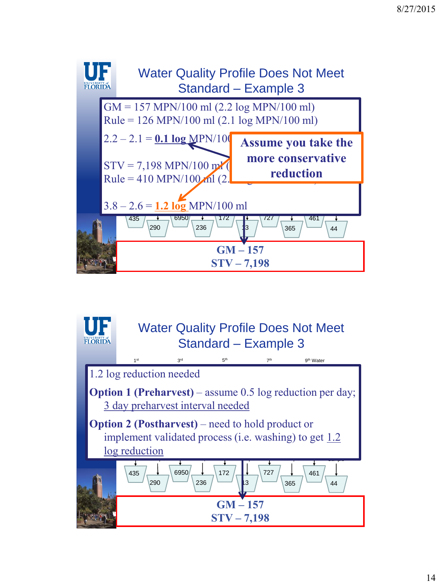

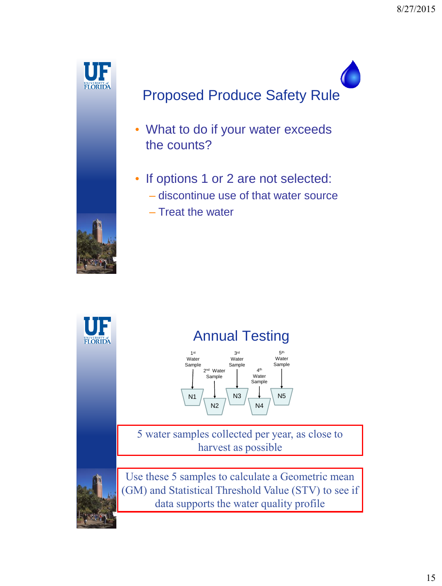

- What to do if your water exceeds the counts?
- If options 1 or 2 are not selected:
	- discontinue use of that water source
	- Treat the water

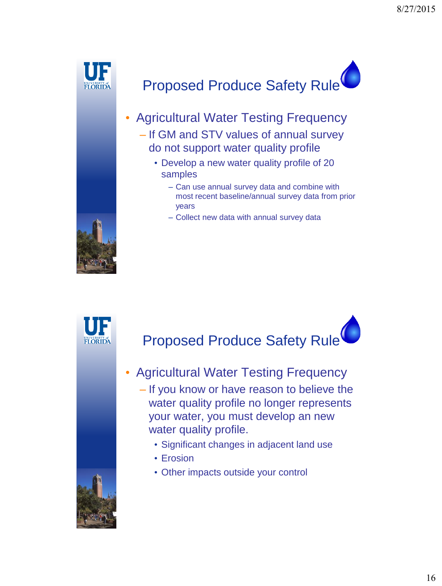

- Agricultural Water Testing Frequency – If GM and STV values of annual survey do not support water quality profile
	- Develop a new water quality profile of 20 samples
		- Can use annual survey data and combine with most recent baseline/annual survey data from prior years
		- Collect new data with annual survey data





- Agricultural Water Testing Frequency – If you know or have reason to believe the water quality profile no longer represents your water, you must develop an new water quality profile.
	- Significant changes in adjacent land use
	- Erosion
	- Other impacts outside your control

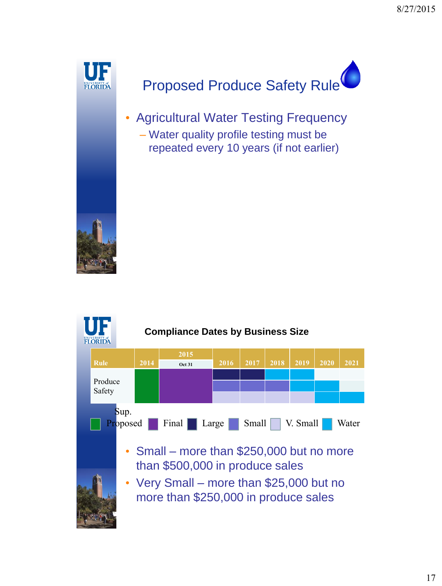![](_page_16_Picture_1.jpeg)

• Agricultural Water Testing Frequency – Water quality profile testing must be repeated every 10 years (if not earlier)

![](_page_16_Picture_4.jpeg)

![](_page_16_Figure_5.jpeg)